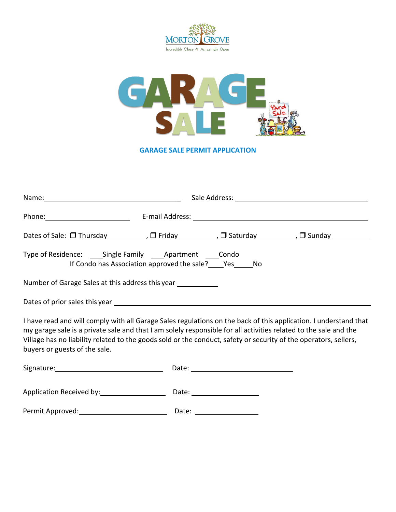



**GARAGE SALE PERMIT APPLICATION**

| Dates of Sale: □ Thursday____________, □ Friday___________, □ Saturday___________, □ Sunday_________ |  |  |  |  |
|------------------------------------------------------------------------------------------------------|--|--|--|--|
| If Condo has Association approved the sale? Pes No                                                   |  |  |  |  |
| Number of Garage Sales at this address this year ____________                                        |  |  |  |  |
|                                                                                                      |  |  |  |  |

I have read and will comply with all Garage Sales regulations on the back of this application. I understand that my garage sale is a private sale and that I am solely responsible for all activities related to the sale and the Village has no liability related to the goods sold or the conduct, safety or security of the operators, sellers, buyers or guests of the sale.

| Signature:               | Date: |
|--------------------------|-------|
|                          |       |
| Application Received by: | Date: |
| Permit Approved:         | Date: |